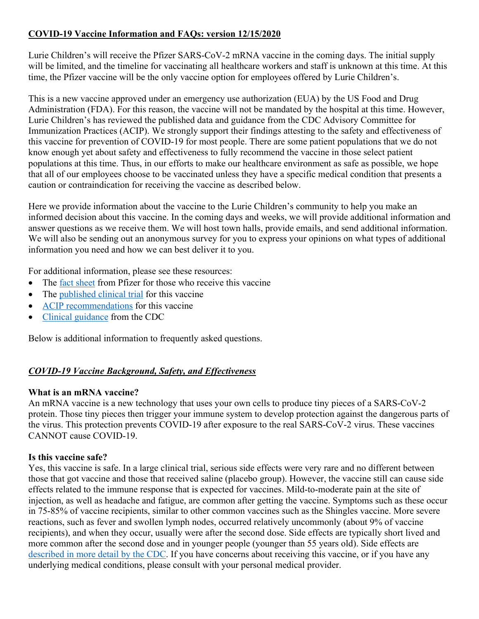# **COVID-19 Vaccine Information and FAQs: version 12/15/2020**

Lurie Children's will receive the Pfizer SARS-CoV-2 mRNA vaccine in the coming days. The initial supply will be limited, and the timeline for vaccinating all healthcare workers and staff is unknown at this time. At this time, the Pfizer vaccine will be the only vaccine option for employees offered by Lurie Children's.

This is a new vaccine approved under an emergency use authorization (EUA) by the US Food and Drug Administration (FDA). For this reason, the vaccine will not be mandated by the hospital at this time. However, Lurie Children's has reviewed the published data and guidance from the CDC Advisory Committee for Immunization Practices (ACIP). We strongly support their findings attesting to the safety and effectiveness of this vaccine for prevention of COVID-19 for most people. There are some patient populations that we do not know enough yet about safety and effectiveness to fully recommend the vaccine in those select patient populations at this time. Thus, in our efforts to make our healthcare environment as safe as possible, we hope that all of our employees choose to be vaccinated unless they have a specific medical condition that presents a caution or contraindication for receiving the vaccine as described below.

Here we provide information about the vaccine to the Lurie Children's community to help you make an informed decision about this vaccine. In the coming days and weeks, we will provide additional information and answer questions as we receive them. We will host town halls, provide emails, and send additional information. We will also be sending out an anonymous survey for you to express your opinions on what types of additional information you need and how we can best deliver it to you.

For additional information, please see these resources:

- The [fact sheet](https://www.fda.gov/media/144414/download) from Pfizer for those who receive this vaccine
- The [published clinical trial](https://www.nejm.org/doi/full/10.1056/NEJMoa2034577?query=recirc_curatedRelated_article) for this vaccine
- [ACIP recommendations](https://www.cdc.gov/vaccines/hcp/acip-recs/vacc-specific/covid-19.html) for this vaccine
- [Clinical guidance](https://www.cdc.gov/vaccines/covid-19/info-by-product/pfizer/clinical-considerations.html?CDC_AA_refVal=https%3A%2F%2Fwww.cdc.gov%2Fvaccines%2Fcovid-19%2Finfo-by-manufacturer%2Fpfizer%2Fclinical-considerations.html) from the CDC

Below is additional information to frequently asked questions.

# *COVID-19 Vaccine Background, Safety, and Effectiveness*

## **What is an mRNA vaccine?**

An mRNA vaccine is a new technology that uses your own cells to produce tiny pieces of a SARS-CoV-2 protein. Those tiny pieces then trigger your immune system to develop protection against the dangerous parts of the virus. This protection prevents COVID-19 after exposure to the real SARS-CoV-2 virus. These vaccines CANNOT cause COVID-19.

## **Is this vaccine safe?**

Yes, this vaccine is safe. In a large clinical trial, serious side effects were very rare and no different between those that got vaccine and those that received saline (placebo group). However, the vaccine still can cause side effects related to the immune response that is expected for vaccines. Mild-to-moderate pain at the site of injection, as well as headache and fatigue, are common after getting the vaccine. Symptoms such as these occur in 75-85% of vaccine recipients, similar to other common vaccines such as the Shingles vaccine. More severe reactions, such as fever and swollen lymph nodes, occurred relatively uncommonly (about 9% of vaccine recipients), and when they occur, usually were after the second dose. Side effects are typically short lived and more common after the second dose and in younger people (younger than 55 years old). Side effects are [described in more detail by the CDC](https://www.cdc.gov/vaccines/covid-19/info-by-manufacturer/pfizer/reactogenicity.html). If you have concerns about receiving this vaccine, or if you have any underlying medical conditions, please consult with your personal medical provider.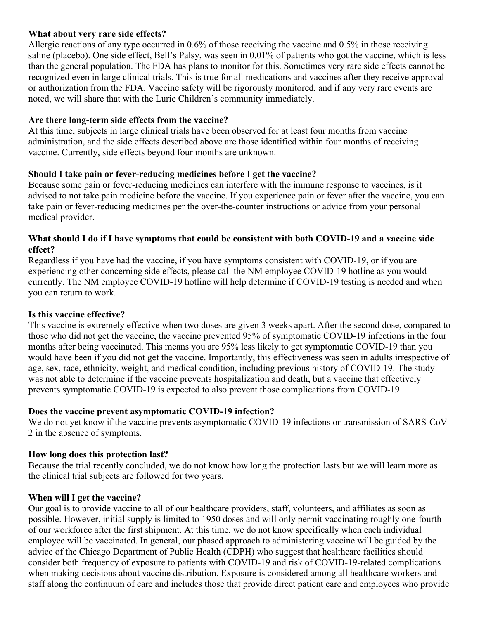### **What about very rare side effects?**

Allergic reactions of any type occurred in 0.6% of those receiving the vaccine and 0.5% in those receiving saline (placebo). One side effect, Bell's Palsy, was seen in 0.01% of patients who got the vaccine, which is less than the general population. The FDA has plans to monitor for this. Sometimes very rare side effects cannot be recognized even in large clinical trials. This is true for all medications and vaccines after they receive approval or authorization from the FDA. Vaccine safety will be rigorously monitored, and if any very rare events are noted, we will share that with the Lurie Children's community immediately.

#### **Are there long-term side effects from the vaccine?**

At this time, subjects in large clinical trials have been observed for at least four months from vaccine administration, and the side effects described above are those identified within four months of receiving vaccine. Currently, side effects beyond four months are unknown.

#### **Should I take pain or fever-reducing medicines before I get the vaccine?**

Because some pain or fever-reducing medicines can interfere with the immune response to vaccines, is it advised to not take pain medicine before the vaccine. If you experience pain or fever after the vaccine, you can take pain or fever-reducing medicines per the over-the-counter instructions or advice from your personal medical provider.

#### **What should I do if I have symptoms that could be consistent with both COVID-19 and a vaccine side effect?**

Regardless if you have had the vaccine, if you have symptoms consistent with COVID-19, or if you are experiencing other concerning side effects, please call the NM employee COVID-19 hotline as you would currently. The NM employee COVID-19 hotline will help determine if COVID-19 testing is needed and when you can return to work.

### **Is this vaccine effective?**

This vaccine is extremely effective when two doses are given 3 weeks apart. After the second dose, compared to those who did not get the vaccine, the vaccine prevented 95% of symptomatic COVID-19 infections in the four months after being vaccinated. This means you are 95% less likely to get symptomatic COVID-19 than you would have been if you did not get the vaccine. Importantly, this effectiveness was seen in adults irrespective of age, sex, race, ethnicity, weight, and medical condition, including previous history of COVID-19. The study was not able to determine if the vaccine prevents hospitalization and death, but a vaccine that effectively prevents symptomatic COVID-19 is expected to also prevent those complications from COVID-19.

#### **Does the vaccine prevent asymptomatic COVID-19 infection?**

We do not yet know if the vaccine prevents asymptomatic COVID-19 infections or transmission of SARS-CoV-2 in the absence of symptoms.

#### **How long does this protection last?**

Because the trial recently concluded, we do not know how long the protection lasts but we will learn more as the clinical trial subjects are followed for two years.

#### **When will I get the vaccine?**

Our goal is to provide vaccine to all of our healthcare providers, staff, volunteers, and affiliates as soon as possible. However, initial supply is limited to 1950 doses and will only permit vaccinating roughly one-fourth of our workforce after the first shipment. At this time, we do not know specifically when each individual employee will be vaccinated. In general, our phased approach to administering vaccine will be guided by the advice of the Chicago Department of Public Health (CDPH) who suggest that healthcare facilities should consider both frequency of exposure to patients with COVID-19 and risk of COVID-19-related complications when making decisions about vaccine distribution. Exposure is considered among all healthcare workers and staff along the continuum of care and includes those that provide direct patient care and employees who provide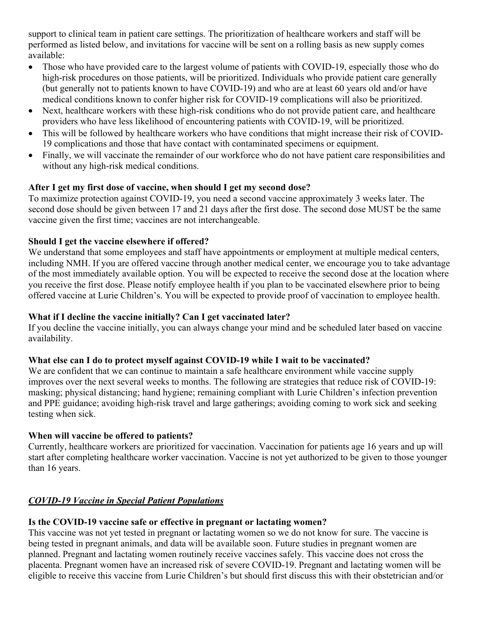support to clinical team in patient care settings. The prioritization of healthcare workers and staff will be performed as listed below, and invitations for vaccine will be sent on a rolling basis as new supply comes available:

- Those who have provided care to the largest volume of patients with COVID-19, especially those who do high-risk procedures on those patients, will be prioritized. Individuals who provide patient care generally (but generally not to patients known to have COVID-19) and who are at least 60 years old and/or have medical conditions known to confer higher risk for COVID-19 complications will also be prioritized.
- Next, healthcare workers with these high-risk conditions who do not provide patient care, and healthcare providers who have less likelihood of encountering patients with COVID-19, will be prioritized.
- This will be followed by healthcare workers who have conditions that might increase their risk of COVID-19 complications and those that have contact with contaminated specimens or equipment.
- Finally, we will vaccinate the remainder of our workforce who do not have patient care responsibilities and without any high-risk medical conditions.

## **After I get my first dose of vaccine, when should I get my second dose?**

To maximize protection against COVID-19, you need a second vaccine approximately 3 weeks later. The second dose should be given between 17 and 21 days after the first dose. The second dose MUST be the same vaccine given the first time; vaccines are not interchangeable.

## **Should I get the vaccine elsewhere if offered?**

We understand that some employees and staff have appointments or employment at multiple medical centers, including NMH. If you are offered vaccine through another medical center, we encourage you to take advantage of the most immediately available option. You will be expected to receive the second dose at the location where you receive the first dose. Please notify employee health if you plan to be vaccinated elsewhere prior to being offered vaccine at Lurie Children's. You will be expected to provide proof of vaccination to employee health.

## **What if I decline the vaccine initially? Can I get vaccinated later?**

If you decline the vaccine initially, you can always change your mind and be scheduled later based on vaccine availability.

## **What else can I do to protect myself against COVID-19 while I wait to be vaccinated?**

We are confident that we can continue to maintain a safe healthcare environment while vaccine supply improves over the next several weeks to months. The following are strategies that reduce risk of COVID-19: masking; physical distancing; hand hygiene; remaining compliant with Lurie Children's infection prevention and PPE guidance; avoiding high-risk travel and large gatherings; avoiding coming to work sick and seeking testing when sick.

# **When will vaccine be offered to patients?**

Currently, healthcare workers are prioritized for vaccination. Vaccination for patients age 16 years and up will start after completing healthcare worker vaccination. Vaccine is not yet authorized to be given to those younger than 16 years.

# *COVID-19 Vaccine in Special Patient Populations*

# **Is the COVID-19 vaccine safe or effective in pregnant or lactating women?**

This vaccine was not yet tested in pregnant or lactating women so we do not know for sure. The vaccine is being tested in pregnant animals, and data will be available soon. Future studies in pregnant women are planned. Pregnant and lactating women routinely receive vaccines safely. This vaccine does not cross the placenta. Pregnant women have an increased risk of severe COVID-19. Pregnant and lactating women will be eligible to receive this vaccine from Lurie Children's but should first discuss this with their obstetrician and/or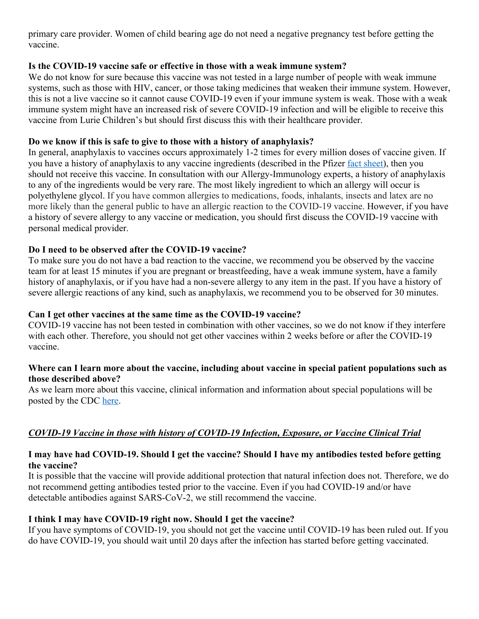primary care provider. Women of child bearing age do not need a negative pregnancy test before getting the vaccine.

## **Is the COVID-19 vaccine safe or effective in those with a weak immune system?**

We do not know for sure because this vaccine was not tested in a large number of people with weak immune systems, such as those with HIV, cancer, or those taking medicines that weaken their immune system. However, this is not a live vaccine so it cannot cause COVID-19 even if your immune system is weak. Those with a weak immune system might have an increased risk of severe COVID-19 infection and will be eligible to receive this vaccine from Lurie Children's but should first discuss this with their healthcare provider.

## **Do we know if this is safe to give to those with a history of anaphylaxis?**

In general, anaphylaxis to vaccines occurs approximately 1-2 times for every million doses of vaccine given. If you have a history of anaphylaxis to any vaccine ingredients (described in the Pfizer [fact sheet\)](https://www.fda.gov/media/144414/download), then you should not receive this vaccine. In consultation with our Allergy-Immunology experts, a history of anaphylaxis to any of the ingredients would be very rare. The most likely ingredient to which an allergy will occur is polyethylene glycol. If you have common allergies to medications, foods, inhalants, insects and latex are no more likely than the general public to have an allergic reaction to the COVID-19 vaccine. However, if you have a history of severe allergy to any vaccine or medication, you should first discuss the COVID-19 vaccine with personal medical provider.

## **Do I need to be observed after the COVID-19 vaccine?**

To make sure you do not have a bad reaction to the vaccine, we recommend you be observed by the vaccine team for at least 15 minutes if you are pregnant or breastfeeding, have a weak immune system, have a family history of anaphylaxis, or if you have had a non-severe allergy to any item in the past. If you have a history of severe allergic reactions of any kind, such as anaphylaxis, we recommend you to be observed for 30 minutes.

## **Can I get other vaccines at the same time as the COVID-19 vaccine?**

COVID-19 vaccine has not been tested in combination with other vaccines, so we do not know if they interfere with each other. Therefore, you should not get other vaccines within 2 weeks before or after the COVID-19 vaccine.

## **Where can I learn more about the vaccine, including about vaccine in special patient populations such as those described above?**

As we learn more about this vaccine, clinical information and information about special populations will be posted by the CDC [here.](https://www.cdc.gov/vaccines/covid-19/info-by-product/pfizer/clinical-considerations.html?CDC_AA_refVal=https%3A%2F%2Fwww.cdc.gov%2Fvaccines%2Fcovid-19%2Finfo-by-manufacturer%2Fpfizer%2Fclinical-considerations.html)

# *COVID-19 Vaccine in those with history of COVID-19 Infection, Exposure, or Vaccine Clinical Trial*

# **I may have had COVID-19. Should I get the vaccine? Should I have my antibodies tested before getting the vaccine?**

It is possible that the vaccine will provide additional protection that natural infection does not. Therefore, we do not recommend getting antibodies tested prior to the vaccine. Even if you had COVID-19 and/or have detectable antibodies against SARS-CoV-2, we still recommend the vaccine.

# **I think I may have COVID-19 right now. Should I get the vaccine?**

If you have symptoms of COVID-19, you should not get the vaccine until COVID-19 has been ruled out. If you do have COVID-19, you should wait until 20 days after the infection has started before getting vaccinated.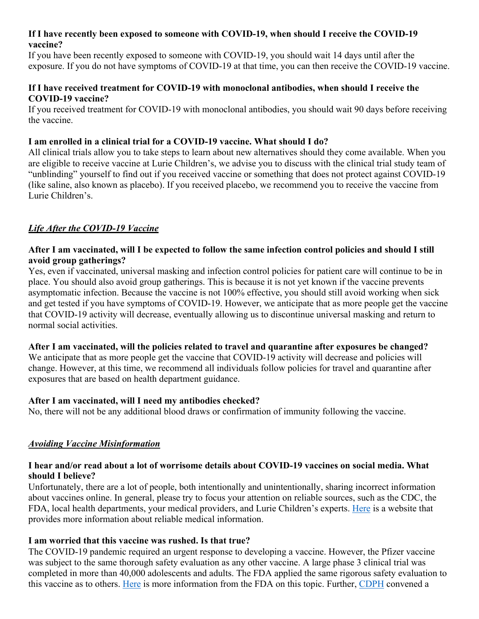### **If I have recently been exposed to someone with COVID-19, when should I receive the COVID-19 vaccine?**

If you have been recently exposed to someone with COVID-19, you should wait 14 days until after the exposure. If you do not have symptoms of COVID-19 at that time, you can then receive the COVID-19 vaccine.

## **If I have received treatment for COVID-19 with monoclonal antibodies, when should I receive the COVID-19 vaccine?**

If you received treatment for COVID-19 with monoclonal antibodies, you should wait 90 days before receiving the vaccine.

## **I am enrolled in a clinical trial for a COVID-19 vaccine. What should I do?**

All clinical trials allow you to take steps to learn about new alternatives should they come available. When you are eligible to receive vaccine at Lurie Children's, we advise you to discuss with the clinical trial study team of "unblinding" yourself to find out if you received vaccine or something that does not protect against COVID-19 (like saline, also known as placebo). If you received placebo, we recommend you to receive the vaccine from Lurie Children's.

# *Life After the COVID-19 Vaccine*

## **After I am vaccinated, will I be expected to follow the same infection control policies and should I still avoid group gatherings?**

Yes, even if vaccinated, universal masking and infection control policies for patient care will continue to be in place. You should also avoid group gatherings. This is because it is not yet known if the vaccine prevents asymptomatic infection. Because the vaccine is not 100% effective, you should still avoid working when sick and get tested if you have symptoms of COVID-19. However, we anticipate that as more people get the vaccine that COVID-19 activity will decrease, eventually allowing us to discontinue universal masking and return to normal social activities.

## **After I am vaccinated, will the policies related to travel and quarantine after exposures be changed?**

We anticipate that as more people get the vaccine that COVID-19 activity will decrease and policies will change. However, at this time, we recommend all individuals follow policies for travel and quarantine after exposures that are based on health department guidance.

## **After I am vaccinated, will I need my antibodies checked?**

No, there will not be any additional blood draws or confirmation of immunity following the vaccine.

# *Avoiding Vaccine Misinformation*

## **I hear and/or read about a lot of worrisome details about COVID-19 vaccines on social media. What should I believe?**

Unfortunately, there are a lot of people, both intentionally and unintentionally, sharing incorrect information about vaccines online. In general, please try to focus your attention on reliable sources, such as the CDC, the FDA, local health departments, your medical providers, and Lurie Children's experts[. Here](https://www.nia.nih.gov/health/online-health-information-it-reliable) is a website that provides more information about reliable medical information.

# **I am worried that this vaccine was rushed. Is that true?**

The COVID-19 pandemic required an urgent response to developing a vaccine. However, the Pfizer vaccine was subject to the same thorough safety evaluation as any other vaccine. A large phase 3 clinical trial was completed in more than 40,000 adolescents and adults. The FDA applied the same rigorous safety evaluation to this vaccine as to others. [Here](https://www.fda.gov/vaccines-blood-biologics/vaccines/emergency-use-authorization-vaccines-explained) is more information from the FDA on this topic. Further, [CDPH](https://www.chicago.gov/city/en/sites/covid19-vaccine/home/latest-updates.html) convened a